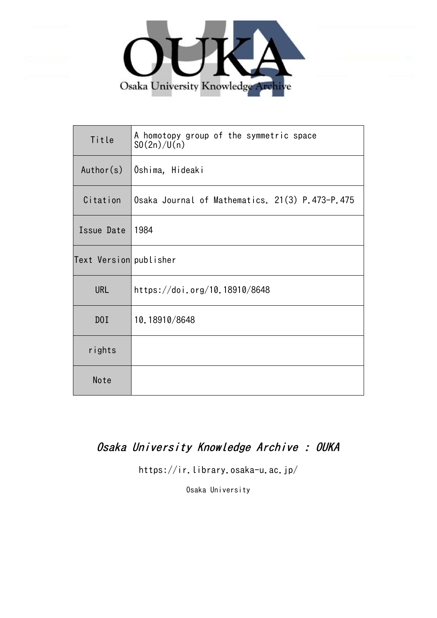

| Title                  | A homotopy group of the symmetric space<br>SO(2n)/U(n) |
|------------------------|--------------------------------------------------------|
| Author(s)              | Oshima, Hideaki                                        |
| Citation               | Osaka Journal of Mathematics. 21(3) P.473-P.475        |
| Issue Date             | 1984                                                   |
| Text Version publisher |                                                        |
| <b>URL</b>             | https://doi.org/10.18910/8648                          |
| D0I                    | 10.18910/8648                                          |
| rights                 |                                                        |
| Note                   |                                                        |

## Osaka University Knowledge Archive : OUKA

https://ir.library.osaka-u.ac.jp/

Osaka University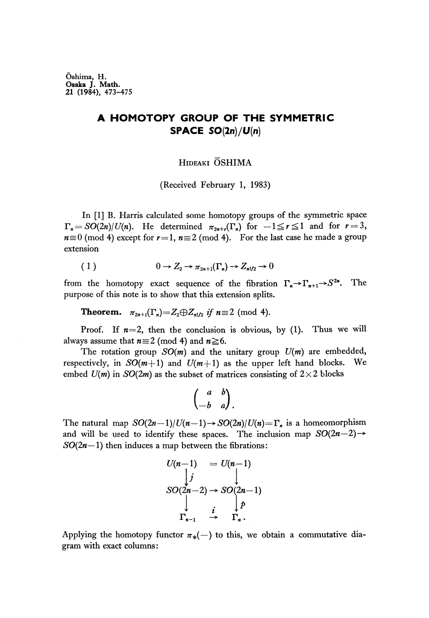Oshima, H. Osaka J. Math. 21 (1984), 473-475

## **A HOMOTOPY GROUP OF THE SYMMETRIC SPACE SO(2n)/U(n)**

## HIDEAKI OSHIMA

(Received February 1, 1983)

In [1] B. Harris calculated some homotopy groups of the symmetric space  $T_n = SO(2n)/U(n)$ . He determined  $\pi_{2n+r}(\Gamma_n)$  for  $-1 \le r \le 1$  and for  $r = 3$ ,  $n\equiv 0 \pmod{4}$  except for  $r=1$ ,  $n\equiv 2 \pmod{4}$ . For the last case he made a group extension

n  
sion  

$$
(1) \qquad \qquad 0 \to Z_2 \to \pi_{2n+1}(\Gamma_n) \to Z_{n!/2} \to 0
$$

from the homotopy exact sequence of the fibration  $\Gamma_n \to \Gamma_{n+1} \to S^{2n}$ . . The purpose of this note is to show that this extension splits.

**Theorem.**  $\pi_{2n+1}(\Gamma_n) = Z_2 \oplus Z_{n!/2}$  *if*  $n \equiv 2 \pmod{4}$ .

Proof. If  $n=2$ , then the conclusion is obvious, by (1). Thus we will always assume that  $n \equiv 2 \pmod{4}$  and  $n \ge 6$ .

The rotation group *SO(m)* and the unitary group *U(m)* are embedded, respectively, in  $SO(m+1)$  and  $U(m+1)$  as the upper left hand blocks. We embed  $U(m)$  in  $SO(2m)$  as the subset of matrices consisting of  $2 \times 2$  blocks

$$
\begin{pmatrix} a & b \\ -b & a \end{pmatrix}.
$$

The natural map *SO(2n—l)/U(n~l)^ SO(2n)IU(n)=Γ<sup>Λ</sup>* is a homeomorphίsm and will be used to identify these spaces. The inclusion map  $SO(2n-2) \rightarrow$  $SO(2n-1)$  then induces a map between the fibrations:

$$
U(n-1) = U(n-1)
$$
  
\n
$$
\downarrow j
$$
  
\n
$$
SO(2n-2) \rightarrow SO(2n-1)
$$
  
\n
$$
\downarrow \qquad \downarrow p
$$
  
\n
$$
\Gamma_{n-1} \rightarrow \Gamma_n.
$$

Applying the homotopy functor  $\pi_*(-)$  to this, we obtain a commutative diagram with exact columns: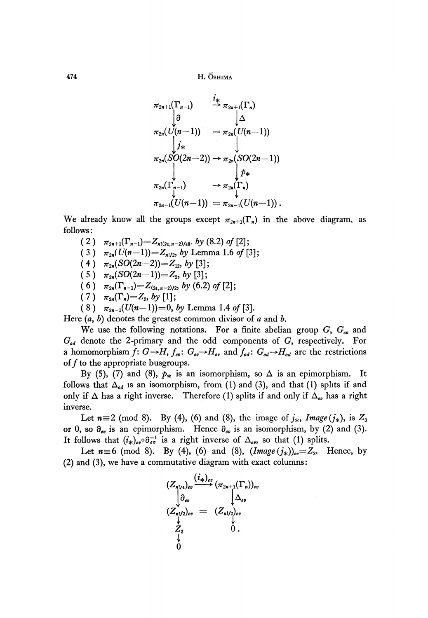$474$  H. Oshima

$$
\pi_{2n+1}(\Gamma_{n-1}) \xrightarrow{i_{*}} \pi_{2n+1}(\Gamma_{n})
$$
\n
$$
\pi_{2n}(U(n-1)) = \pi_{2n}(U(n-1))
$$
\n
$$
\pi_{2n}(SO(2n-2)) \to \pi_{2n}(SO(2n-1))
$$
\n
$$
\pi_{2n}(\Gamma_{n-1}) \xrightarrow{\qquad \qquad } \pi_{2n}(\Gamma_{n})
$$
\n
$$
\pi_{2n-1}(U(n-1)) = \pi_{2n-1}(U(n-1)) .
$$

We already know all the groups except *π2n+l(T<sup>n</sup> )* in the above diagram, as follows:

- $(2)$   $\pi_{2n+1}(\Gamma_{n-1}) = Z_{n!(24,n-2)/48}$ *, by* (8.2) of [2];
- ( 3 )  $\pi_{2n}(U(n-1)) = Z_{n!/2}$ , by Lemma 1.6 of [3];
- $(4)$   $\pi_{2n}(SO(2n-2))=Z_{12}$ *, by* [3];
- $(5)$   $\pi_{2n}(SO(2n-1))=Z_2$ , by [3]
- (6)  $\pi_{2n}(\Gamma_{n-1}) = Z_{(24,n-2)/2}$ , by (6.2) of [2];
- $(7)$   $\pi_{2n}(\Gamma_n)=Z_2$ , by [1];
- $(8)$   $\pi_{2n-1}(U(n-1))=0$ , by Lemma 1.4 of [3].

Here  $(a, b)$  denotes the greatest common divisor of a and b.

We use the following notations. For a finite abelian group  $G, G_{\epsilon\vartheta}$  and *God* denote the 2-primary and the odd components of G, respectively. For a homomorphism  $\hat{f}$ :  $G \rightarrow H$ ,  $f_{e\hat{v}}$ :  $G_{e\hat{v}} \rightarrow H_{e\hat{v}}$  and  $f_{od}$ :  $G_{od} \rightarrow H_{od}$  are the restrictions of  $f$  to the appropriate busgroups.

By (5), (7) and (8),  $p_*$  is an isomorphism, so  $\Delta$  is an epimorphism. It follows that *Δod* is an isomorphism, from (1) and (3), and that (1) splits if and only if  $\Delta$  has a right inverse. Therefore (1) splits if and only if  $\Delta_{e\theta}$  has a right inverse.

Let  $n \equiv 2 \pmod{8}$ . By (4), (6) and (8), the image of  $j_*, \text{Image}(j_*)$ , is  $Z_3$ or 0, so  $\partial_{\epsilon v}$  is an epimorphism. Hence  $\partial_{\epsilon v}$  is an isomorphism, by (2) and (3). It follows that  $(i_*)_{e\nu} \partial_{e\nu}^{-1}$  is a right inverse of  $\Delta_{e\nu}$ , so that (1) splits.

Let  $n \equiv 6 \pmod{8}$ . By (4), (6) and (8),  $(Image(j_*)_{ev} = Z_2$ . Hence, by (2) and (3), we have a commutative diagram with exact columns:

$$
(Z_{n!/2})_{ev} \xrightarrow{(\tilde{t}_{\ast})_{ev}} (\pi_{2n+1}(\Gamma_n))_{ev} \n\downarrow^{\partial_{ev}} \qquad \qquad \downarrow^{\Delta_{ev}} \n(Z_{n!/2})_{ev} = (Z_{n!/2})_{ev} \n\downarrow^{\vee} \nZ_2 \qquad \qquad 0 .
$$